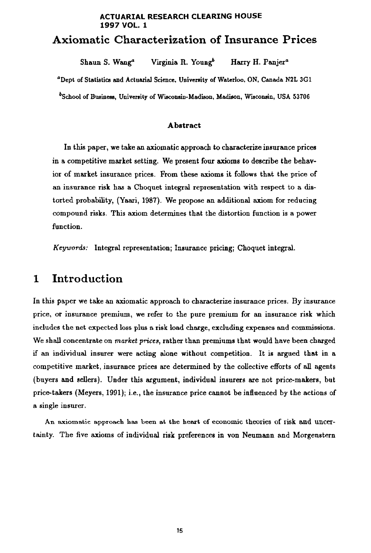#### **ACTUARIAL RESEARCH CLEARING HOUSE 1997 VOL. 1**

## **Axiomatic Characterization of Insurance Prices**

Shaun S. Wang<sup>a</sup> Virginia R. Young<sup>b</sup> Harry H. Panjer<sup>a</sup>

<sup>a</sup>Dept of Statistics and Actuarial Science, University of Waterloo, ON, Canada N2L 3G1 <sup>b</sup>School of Business, University of Wisconsin-Madison, Madison, Wisconsin, USA 53706

#### **Abstract**

In this paper, we take an axiomatic approach to characterize insurance prices in a competitive market setting. We present four axioms to describe the behavior of market insurance prices. From these axioms it follows that the price of an insurance risk has a Choquet integral representation with respect to a distorted probability, (Yanri, 1987). We propose an additional axiom for reducing compound risks. This axiom determines that the distortion function is a power function.

*Keyumrds:* Integral representation; Insurance pricing; Choquet integral.

## **1 Introduction**

In this paper we take an axiomatic approach to characterize insurance prices. By insurance price, or insurance premium, we refer to the pure premium for an insurance risk which includes the net expected loss plus a risk load charge, excluding expenses and commissions. We shall concentrate on *market prices,* rather than premiums that would have been charged if an individual insurer were acting alone without competition. It is argued that in a competitive market, insurance prices are determined by the collective efforts of all agents (buyers and sellers). Under this argument, individual insurers are not price-makers, but price-takers (Meyers, 1991); i.e., the insurance price cannot be influenced by the actions of a single insurer.

An axiomatic approach has been at the heart of economic theories of risk and uncertainty. The five axioms of individual risk preferences in yon Neumann and Morgenstern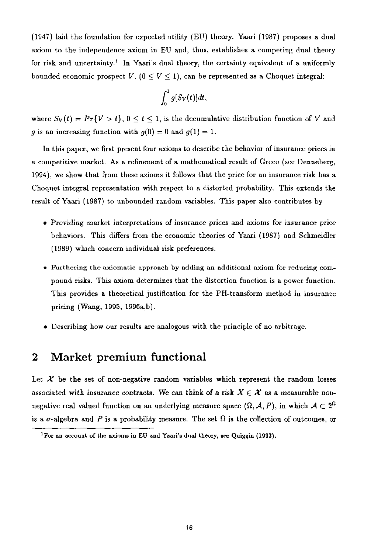(1947) laid the foundation for expected utility (EU) theory. Yaari (1987) proposes a dual axiom to the independence axiom in EU and, thus, establishes a competing dual theory for risk and uncertainty.<sup>1</sup> In Yaari's dual theory, the certainty equivalent of a uniformly bounded economic prospect  $V$ ,  $(0 \le V \le 1)$ , can be represented as a Choquet integral:

$$
\int_0^1g[S_V(t)]dt,
$$

where  $S_V(t) = Pr{V > t}$ ,  $0 \le t \le 1$ , is the decumulative distribution function of V and g is an increasing function with  $g(0) = 0$  and  $g(1) = 1$ .

In this paper, we first present four axioms to describe the behavior of insurance prices in a competitive market. As a refinement of a mathematical result of Greco (see Denneberg, 1994), we show that from these axioms it follows that the price for an insurance risk has a Choquet integral representation with respect to a distorted probability. This extends the result of Yaari (1987) to unbounded random variables. This paper also contributes by

- $\bullet$  Providing market interpretations of insurance prices and axioms for insurance price behaviors. This differs from the economic theories of Yaari (1987) and Schmeidler (1989) which concern individual risk preferences.
- Furthering the axiomatic approach by adding an additional axiom for reducing compound risks. This axiom determines that the distortion function is a power function. This provides a theoretical justification for the PH-transform method in insurance pricing (Wang, 1995, 1996a,b).
- Describing how our results are analogous with the principle of no arbitrage.

### **2** Market premium functional

Let  $\mathcal X$  be the set of non-negative random variables which represent the random losses associated with insurance contracts. We can think of a risk  $X \in \mathcal{X}$  as a measurable nonnegative real valued function on an underlying measure space  $(\Omega, \mathcal{A}, P)$ , in which  $\mathcal{A} \subset 2^{\Omega}$ is a  $\sigma$ -algebra and P is a probability measure. The set  $\Omega$  is the collection of outcomes, or

<sup>&</sup>lt;sup>1</sup>For an account of the axioms in EU and Yaari's dual theory, see Quiggin (1993).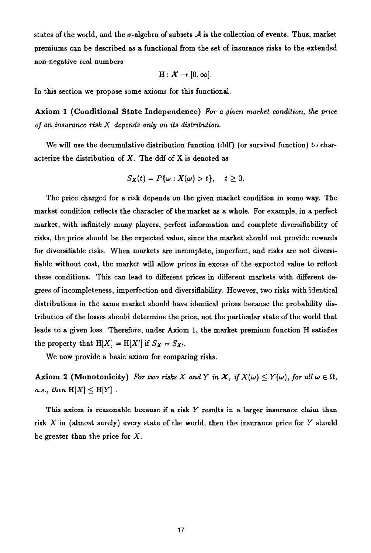states of the world, and the  $\sigma$ -algebra of subsets  $A$  is the collection of events. Thus, market premiums can be described as a functional from the set of insurance risks to the extended non-negative real numbers

$$
\mathrm{H}:\mathcal{X}\rightarrow [0,\infty].
$$

In this section we propose some axioms for this functional.

Axiom 1 (Conditional State Independence) For a given market condition, the price *of an insurance risk X depends only on its distribution.* 

We will use the decumulative distribution function (ddf) (or survival function) to characterize the distribution of  $X$ . The ddf of  $X$  is denoted as

$$
S_X(t) = P\{\omega : X(\omega) > t\}, \quad t \geq 0.
$$

The price charged for a risk depends on the given market condition in some way. The market condition reflects the character of the market as a whole. For example, in a perfect market, with infinitely many players, perfect information and complete diversifiability of risks, the price should be the expected value, since the market should not provide rewards for diversifiable risks. When markets are incomplete, imperfect, and risks are not diversifiable without cost, the market will allow prices in excess of the expected value to reflect these conditions. This can lead to different prices in different markets with different degrees of incompleteness, imperfection and diversifiability. However, two risks with identical distributions in the same market should have identical prices because the probability distribution of the losses should determine the price, not the particular state of the world that leads to a given loss. Therefore, under Axiom 1, the market premium function H satisfies the property that  $H[X] = H[X']$  if  $S_X = S_{X'}$ .

We now provide a basic axiom for comparing risks.

Axiom 2 (Monotonicity) For *two risks* X and Y in X, if  $X(\omega) \leq Y(\omega)$ , for all  $\omega \in \Omega$ , *a.s., then*  $H[X] \leq H[Y]$ .

This axiom is reasonable because if a risk  $Y$  results in a larger insurance claim than risk  $X$  in (almost surely) every state of the world, then the insurance price for  $Y$  should be greater than the price for  $X$ .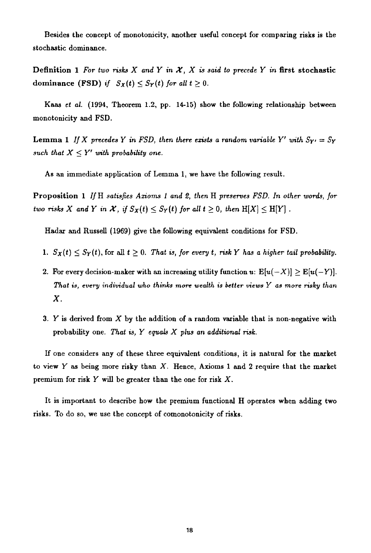Besides the concept of monotonicity, another useful concept for comparing risks is the stochastic dominance.

Definition 1 *For two risks*  $X$  and  $Y$  in  $X$ ,  $X$  is said to precede  $Y$  in first stochastic dominance (FSD) *if*  $S_X(t) \leq S_Y(t)$  for all  $t \geq 0$ .

*Kaas et al.* (1994, Theorem 1.2, pp. 14-15) show the following relationship between monotonicity and FSD.

**Lemma 1** *If* X precedes Y in FSD, then there exists a random variable Y' with  $S_{Y'} = S_Y$ such that  $X \leq Y'$  with probability one.

As an immediate application of Lemma 1, we have the following result.

Proposition 1 *IfH satisfies Axioms I and 2, then H preserves FSD. In other words, for two risks X and Y in X, if*  $S_X(t) \leq S_Y(t)$  *for all t*  $\geq 0$ *, then*  $H[X] \leq H[Y]$ .

Hadar and Russell (1969) give the following equivalent conditions for FSD.

- 1.  $S_X(t) \leq S_Y(t)$ , for all  $t > 0$ . That is, for every t, risk Y has a higher tail probability.
- 2. For every decision-maker with an increasing utility function  $u: E[u(-X)] \geq E[u(-Y)].$ *That is, every individual who thinks more wealth is better views Y as more risky than X.*
- 3. Y is derived from  $X$  by the addition of a random variable that is non-negative with probability one. *That is, Y equals X plus an additional risk.*

If one considers any of these three equivalent conditions, it is natural for the market to view  $Y$  as being more risky than  $X$ . Hence, Axioms 1 and 2 require that the market premium for risk  $Y$  will be greater than the one for risk  $X$ .

It is important to describe how the premium functional H operates when adding two risks. To do so, we use the concept of comonotonicity of risks.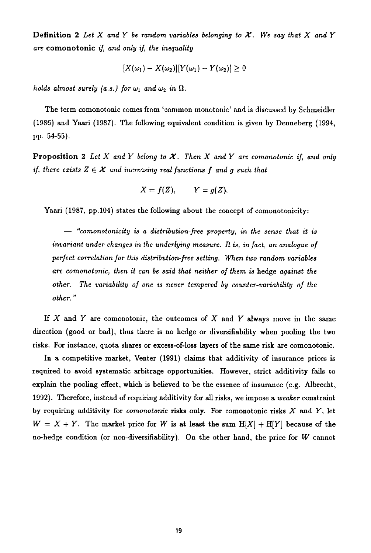**Definition 2** Let X and Y be random variables belonging to  $\mathcal{X}$ . We say that X and Y are comonotonic *if, and only if, the inequality* 

$$
[X(\omega_1)-X(\omega_2)][Y(\omega_1)-Y(\omega_2)]\geq 0
$$

*holds almost surely (a.s.) for*  $\omega_1$  and  $\omega_2$  in  $\Omega$ .

The term comonotonic comes from 'common monotonic' and is discussed by Schmeidier (1986) and Yaari (1987). The following equivalent condition is given by Denneberg (1994, pp. 54-55).

Proposition 2 *Let X and Y belong to X. Then X and Y are comonotonic if, and only if, there exists*  $Z \in \mathcal{X}$  and increasing real functions f and g such that

$$
X = f(Z), \qquad Y = g(Z).
$$

Yaari (1987, pp.104) states the following about the concept of comonotonicity:

*-- %omonotonicity is a distribution-free property, in the sense that it is invariant under changes in the underlying measure. It is, in fact, an analogue of perfect correlation for this distribution-free setting. When two random variables are comonotonic, then it can be said that neither of them is* hedge *against the other. The variability of one is never tempered by counter-variability of the other."* 

If  $X$  and  $Y$  are comonotonic, the outcomes of  $X$  and  $Y$  always move in the same direction (good or bad), thus there is no hedge or diversifiability when pooling the two risks. For instance, quota shares or excess-of-loss layers of the same risk are comonotonic.

In a competitive market, Venter (1991) claims that additivity of insurance prices is required to avoid systematic arbitrage opportunities. However, strict additivity fails to explain the pooling effect, which is believed to be the essence of insurance (e.g. Albrecht, 1992). Therefore, instead of requiring additivity for all risks, we impose a *weaker* constraint by requiring additivity for *comonotonic* risks only. For comonotonic risks X and Y, let  $W = X + Y$ . The market price for W is at least the sum  $H[X] + H[Y]$  because of the no-hedge condition (or non-diversifiability). On the other hand, the price for W cannot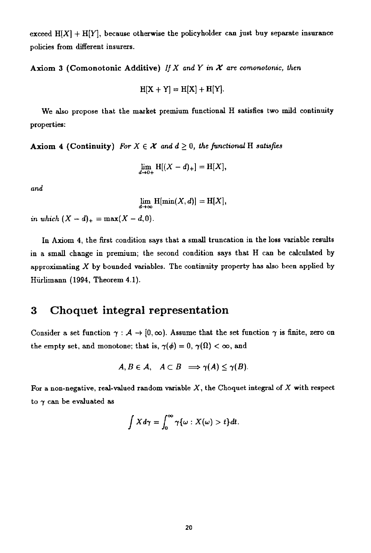exceed  $H[X] + H[Y]$ , because otherwise the policyholder can just buy separate insurance policies from different insurers.

Axiom 3 (Comonotonic Additive) *If*  $X$  and  $Y$  in  $X$  are comonotonic, then

$$
H[X + Y] = H[X] + H[Y].
$$

We also propose that the market premium functional H satisfies two mild continuity properties:

Axiom 4 (Continuity) *For*  $X \in \mathcal{X}$  and  $d \geq 0$ , the functional H satisfies

$$
\lim_{d\to 0+} H[(X-d)_+] = H[X],
$$

*and* 

$$
\lim_{d\to\infty} H[\min(X,d)] = H[X],
$$

*in which*  $(X - d)_+ = \max(X - d, 0)$ .

In Axiom 4, the first condition says that a small truncation in the loss variable results in a small change in premium; the second condition says that H can be calculated by approximating  $X$  by bounded variables. The continuity property has also been applied by Hiirlimann (1994, Theorem 4.1).

## **<sup>3</sup>**Choquet integral representation

Consider a set function  $\gamma : A \to [0, \infty)$ . Assume that the set function  $\gamma$  is finite, zero on the empty set, and monotone; that is,  $\gamma(\phi) = 0$ ,  $\gamma(\Omega) < \infty$ , and

$$
A, B \in \mathcal{A}, \quad A \subset B \implies \gamma(A) \leq \gamma(B).
$$

For a non-negative, real-valued random variable  $X$ , the Choquet integral of  $X$  with respect to  $\gamma$  can be evaluated as

$$
\int X d\gamma = \int_0^\infty \gamma\{\omega : X(\omega) > t\} dt.
$$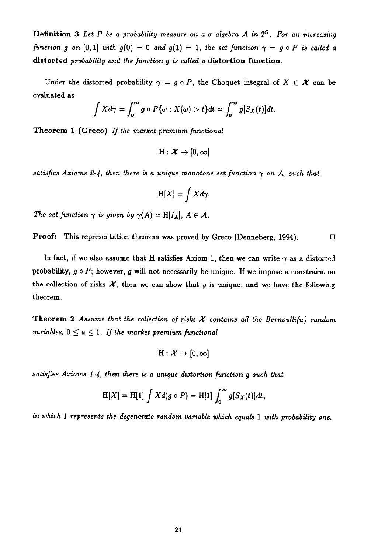Definition 3 Let P be a probability measure on a  $\sigma$ -algebra A in  $2^{\Omega}$ . For an increasing *function g on* [0,1] *with*  $g(0) = 0$  *and*  $g(1) = 1$ , *the set function*  $\gamma = g \circ P$  *is called a* distorted *probability and the function 9 is called a* distortion function.

Under the distorted probability  $\gamma = g \circ P$ , the Choquet integral of  $X \in \mathcal{X}$  can be evaluated as

$$
\int X d\gamma = \int_0^\infty g \circ P\{\omega : X(\omega) > t\} dt = \int_0^\infty g[S_X(t)] dt.
$$

Theorem I (Greeo) *If the market premium functional* 

$$
\mathrm{H}:\mathcal{X}\rightarrow[0,\infty]
$$

satisfies Azioms 2-4, then there is a unique monotone set function  $\gamma$  on A, such that

$$
\mathbf{H}[X] = \int X d\gamma.
$$

The set function  $\gamma$  is given by  $\gamma(A) = H[I_A]$ ,  $A \in \mathcal{A}$ .

**Proof:** This representation theorem was proved by Greco (Denneberg, 1994).  $\Box$ 

In fact, if we also assume that H satisfies Axiom 1, then we can write  $\gamma$  as a distorted probability,  $g \circ P$ ; however, g will not necessarily be unique. If we impose a constraint on the collection of risks  $X$ , then we can show that  $g$  is unique, and we have the following theorem.

**Theorem 2** Assume that the collection of risks  $\mathcal X$  contains all the Bernoulli(u) random *variables,*  $0 \le u \le 1$ . If the market premium functional

$$
\mathrm{H}:\mathcal{X}\rightarrow[0,\infty]
$$

*satisfies Axioms I-4, then there is a unique distortion function g such that* 

$$
H[X] = H[1] \int X d(g \circ P) = H[1] \int_0^\infty g[S_X(t)] dt,
$$

in which 1 represents the degenerate random variable which equals 1 with probability one.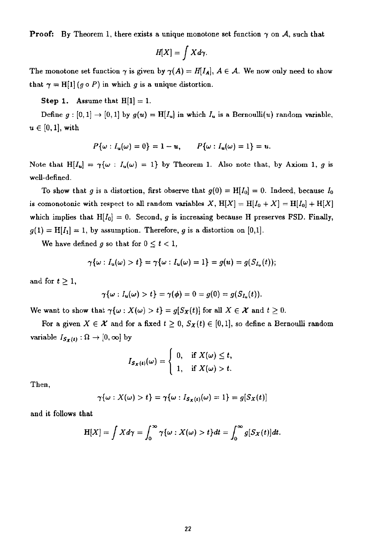**Proof:** By Theorem 1, there exists a unique monotone set function  $\gamma$  on A, such that

$$
H[X] = \int X d\gamma.
$$

The monotone set function  $\gamma$  is given by  $\gamma(A) = H[I_A], A \in \mathcal{A}$ . We now only need to show that  $\gamma = H[1]$  (g o P) in which g is a unique distortion.

Step 1. Assume that  $H[1] = 1$ .

Define  $g: [0, 1] \to [0, 1]$  by  $g(u) = H[I_u]$  in which  $I_u$  is a Bernoulli $(u)$  random variable,  $u \in [0, 1]$ , with

$$
P\{\omega: I_{\mathbf{u}}(\omega)=0\}=1-\mathbf{u}, \qquad P\{\omega: I_{\mathbf{u}}(\omega)=1\}=u.
$$

Note that  $H[I_u] = \gamma\{\omega : I_u(\omega) = 1\}$  by Theorem 1. Also note that, by Axiom 1, g is well-defined.

To show that g is a distortion, first observe that  $g(0) = H[I_0] = 0$ . Indeed, because  $I_0$ is comonotonic with respect to all random variables X,  $H[X] = H[I_0 + X] = H[I_0] + H[X]$ which implies that  $H[I_0] = 0$ . Second, g is increasing because H preserves FSD. Finally,  $g(1) = H[I_1] = 1$ , by assumption. Therefore, g is a distortion on [0,1].

We have defined g so that for  $0 \leq t < 1$ ,

$$
\gamma\{\omega: I_{\mathbf{u}}(\omega) > t\} = \gamma\{\omega: I_{\mathbf{u}}(\omega) = 1\} = g(u) = g(S_{I_{\mathbf{u}}}(t));
$$

and for  $t \geq 1$ ,

$$
\gamma\{\omega: I_{\mathbf{u}}(\omega) > t\} = \gamma(\phi) = 0 = g(0) = g(S_{I_{\mathbf{u}}}(t)).
$$

We want to show that  $\gamma\{\omega : X(\omega) > t\} = g[S_X(t)]$  for all  $X \in \mathcal{X}$  and  $t \geq 0$ .

For a given  $X \in \mathcal{X}$  and for a fixed  $t \geq 0$ ,  $S_X(t) \in [0, 1]$ , so define a Bernoulli random variable  $I_{S_X(t)} : \Omega \to [0, \infty]$  by

$$
I_{S_X(t)}(\omega) = \begin{cases} 0, & \text{if } X(\omega) \leq t, \\ 1, & \text{if } X(\omega) > t. \end{cases}
$$

Then,

$$
\gamma\{\omega:X(\omega)>t\}=\gamma\{\omega:I_{S_X(t)}(\omega)=1\}=g[S_X(t)]
$$

and it follows that

$$
H[X] = \int X d\gamma = \int_0^\infty \gamma\{\omega : X(\omega) > t\} dt = \int_0^\infty g[S_X(t)] dt.
$$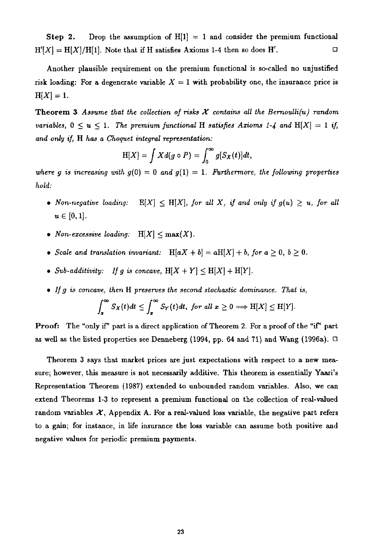Step 2. Drop the assumption of  $H[1] = 1$  and consider the premium functional  $H'[X] = H[X]/H[1]$ . Note that if H satisfies Axioms 1-4 then so does H'.

Another plausible requirement on the premium functional is so-called no unjustified risk loading: For a degenerate variable  $X = 1$  with probability one, the insurance price is  $H[X] = 1.$ 

**Theorem 3** Assume that the collection of risks  $X$  contains all the Bernoulli(u) random *variables,*  $0 \le u \le 1$ . The premium functional H satisfies Azioms 1-4 and H[X] = 1 if, *and only if, H has a Choquet integral representation:* 

$$
H[X] = \int X d(g \circ P) = \int_0^\infty g[S_X(t)] dt,
$$

where g is increasing with  $q(0) = 0$  and  $q(1) = 1$ . Furthermore, the following properties *hold:* 

- Non-negative loading:  $E[X] \leq H[X]$ , for all X, if and only if  $g(u) \geq u$ , for all  $u \in [0, 1]$ .
- Non-excessive loading:  $H[X] < max(X)$ .
- *Scale and translation invariant:*  $H[aX + b] = aH[X] + b$ , for  $a \ge 0$ ,  $b \ge 0$ .
- *Sub-additivity:* If g is concave,  $H[X + Y] \leq H[X] + H[Y]$ .
- *Ifg is concave, then H preserves the second stochastic dominance. That is,*

$$
\int_x^{\infty} S_X(t) dt \leq \int_x^{\infty} S_Y(t) dt, \text{ for all } x \geq 0 \Longrightarrow H[X] \leq H[Y].
$$

Proof; The "only if" part is a direct application of Theorem 2. For a proof of the "if" part as well as the listed properties see Denneberg (1994, pp. 64 and 71) and Wang (1996a).  $\Box$ 

Theorem 3 says that market prices are just expectations with respect to a new measure; however, this measure is not necessarily additive. This theorem is essentially Yaari's Representation Theorem (1987) extended to unbounded random variables. Also, we can extend Theorems 1-3 to represent a premium functional on the collection of real-valued random variables  $X$ , Appendix A. For a real-valued loss variable, the negative part refers to a gain; for instance, in life insurance the loss variable can assume both positive and negative values for periodic premium payments.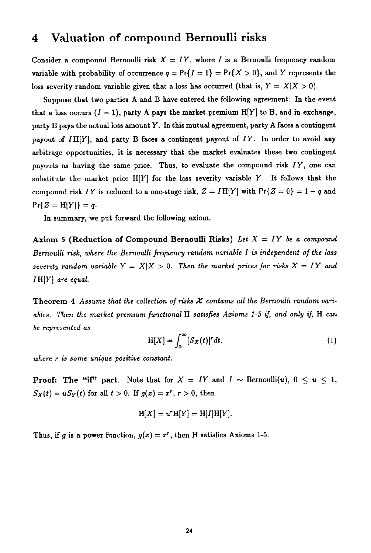## **4** Valuation of compound Bernoulli risks

Consider a compound Bernoulli risk  $X = IY$ , where I is a Bernoulli frequency random variable with probability of occurrence  $q = Pr{I = 1} = Pr{X > 0}$ , and Y represents the loss severity random variable given that a loss has occurred (that is,  $Y = X|X > 0$ ).

Suppose that two parties A and B have entered the following agreement: In the event that a loss occurs  $(I = 1)$ , party A pays the market premium H[Y] to B, and in exchange, party B pays the actual loss amount Y. In this mutual agreement, party A faces a contingent payout of IH[Y], and party B faces a contingent payout of *IY.* In order to avoid any arbitrage opportunities, it is necessary that the market evaluates these two contingent payouts as having the same price. Thus, to evaluate the compound risk *IY,* one can substitute the market price  $H[Y]$  for the loss severity variable Y. It follows that the compound risk *IY* is reduced to a one-stage risk,  $Z = I H[Y]$  with  $Pr{Z = 0} = 1 - q$  and  $Pr{Z = H[Y]} = q.$ 

In summary, we put forward the following axiom.

Axiom 5 (Reduction of Compound Bernoulli Risks) Let X = *IY be a compound Bernoulli risk, where the Bernoulli frequency random variable I is independent of the loss severity random variable*  $Y = X|X > 0$ . Then the market prices for risks  $X = IY$  and IH[Y] *are equal.* 

Theorem  $4$  Assume that the collection of risks  $\mathcal X$  contains all the Bernoulli random vari*ables. Then the market premium functional H satisfies Axioms I-5 if, and only if, H can be represented as* 

$$
H[X] = \int_0^\infty [S_X(t)]^r dt,
$$
 (1)

*where r is some unique positive constant.* 

**Proof:** The "if" part. Note that for  $X = IY$  and  $I \sim \text{Bernoulli}(u)$ ,  $0 \le u \le 1$ ,  $S_X(t) = u S_Y(t)$  for all  $t > 0$ . If  $g(x) = x^r, r > 0$ , then

$$
H[X] = u^r H[Y] = H[I]H[Y].
$$

Thus, if g is a power function,  $g(x) = x^r$ , then H satisfies Axioms 1-5.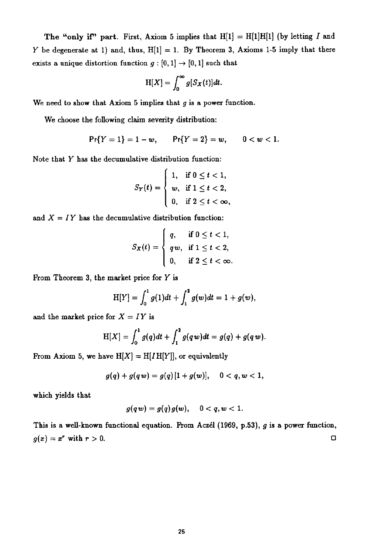The "only if" part. First, Axiom 5 implies that  $H[1] = H[1]H[1]$  (by letting I and Y be degenerate at 1) and, thus,  $H[1] = 1$ . By Theorem 3, Axioms 1-5 imply that there exists a unique distortion function  $g : [0,1] \rightarrow [0,1]$  such that

$$
H[X] = \int_0^\infty g[S_X(t)]dt.
$$

We need to show that Axiom 5 implies that  $q$  is a power function.

We choose the following claim severity distribution:

$$
\Pr\{Y=1\}=1-w,\qquad \Pr\{Y=2\}=w,\qquad 0
$$

Note that Y has the decumulative distribution function:

$$
S_Y(t) = \begin{cases} 1, & \text{if } 0 \leq t < 1, \\ w, & \text{if } 1 \leq t < 2, \\ 0, & \text{if } 2 \leq t < \infty, \end{cases}
$$

and  $X = IY$  has the decumulative distribution function:

$$
S_X(t) = \begin{cases} q, & \text{if } 0 \leq t < 1, \\ q w, & \text{if } 1 \leq t < 2, \\ 0, & \text{if } 2 \leq t < \infty. \end{cases}
$$

From Theorem 3, the market price for  $Y$  is

$$
H[Y] = \int_0^1 g(1)dt + \int_1^2 g(w)dt = 1 + g(w),
$$

and the market price for  $X = IY$  is

$$
H[X] = \int_0^1 g(q) dt + \int_1^2 g(qw) dt = g(q) + g(qw).
$$

From Axiom 5, we have  $H[X] = H[IH[Y]]$ , or equivalently

$$
g(q)+g(q w)=g(q)[1+g(w)], \quad 0
$$

which yields that

$$
g(q w) = g(q) g(w), \quad 0 < q, w < 1.
$$

This is a well-known functional equation. From Aczél (1969, p.53),  $g$  is a power function,  $g(x) = x^r$  with  $r > 0$ .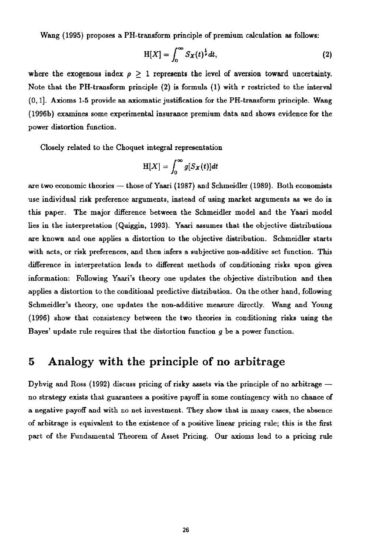Wang (1995) proposes a PH-transform principle of premium calculation as follows:

$$
H[X] = \int_0^\infty S_X(t)^{\frac{1}{2}} dt, \tag{2}
$$

where the exogenous index  $\rho \geq 1$  represents the level of aversion toward uncertainty. Note that the PH-transform principle  $(2)$  is formula  $(1)$  with r restricted to the interval (0, 1]. Axioms 1-5 provide an axiomatic justification for the PH-transform principle. Wang (1996b) examines some experimental insurance premium data and shows evidence for the power distortion function.

Closely related to the Choquet integral representation

$$
H[X] = \int_0^\infty g[S_X(t)]dt
$$

are two economic theories -- those of Yaari (1987) and Schmeidler (1989). Both economists use individual risk preference arguments, instead of using market arguments as we do in this paper. The major difference between the Schmcidler model and the Yaari model lies in the interpretation (Quiggin, 1993). Yaari assumes that the objective distributions arc known and one applies a distortion to the objective distribution. Schmeidler starts with acts, or risk preferences, and then infers a subjective non-additive set function. This difference in interpretation leads to different methods of conditioning risks upon given information: Following Yaari's theory one updates the objective distribution and then applies a distortion to the conditional predictive distribution. On the other hand, following Schmeidler's theory, one updates the non-additive measure directly. Wang and Young (1996) show that consistency between the two theories in conditioning risks using the Bayes' update rule requires that the distortion function  $q$  be a power function.

# **5 Analogy with the principle of no arbitrage**

Dybvig and Ross (1992) discuss pricing of risky assets via the principle of no arbitrage  $$ no strategy exists that guarantees a positive payoff in some contingency with no chance of a negative payoff and with no net investment. They show that in many cases, the absence of arbitrage is equivalent to the existence of a positive linear pricing rule; this is the first part of the Fundamental Theorem of Asset Pricing. Our axioms lead to a pricing rule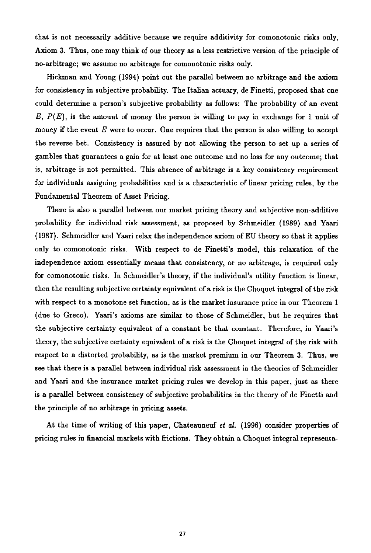that is not necessarily additive because we require additivity for comonotonic risks only, Axiom 3. Thus, one may think of our theory as a less restrictive version of the principle of no-arbitrage; we assume no arbitrage for comonotouic risks only.

Hickman and Young (1994) point out the parallel between no arbitrage and the axiom for consistency in subjective probability. The Italian actuary, de Finetti, proposed that one could determine a person's subjective probability as follows: The probability of an event  $E, P(E)$ , is the amount of money the person is willing to pay in exchange for 1 unit of money if the event  $E$  were to occur. One requires that the person is also willing to accept the reverse bet. Consistency is assured by not allowing the person to set up a series of gambles that guarantees a gain for at least one outcome and no loss for any outcome; that is, arbitrage is not permitted. This absence of arbitrage is a key consistency requirement for individuals assigning probabilities and is a characteristic of linear pricing rules, by the Fundamental Theorem of Asset Pricing.

There is also a parallel between our market pricing theory and subjective non-additive probability for individual risk assessment, as proposed by Schmeidler (1989) and Yaari (1987). Schmeidler and Yanri relax the independence axiom of EU theory so that it applies only to comonotouic risks. With respect to de Finetti's model, this relaxation of the independence axiom essentially means that consistency, or no arbitrage, is required only for comonotonic risks. In Schmeidler's theory, if the individual's utility function is linear, then the resulting subjective certainty equivalent of a risk is the Choquet integral of the risk with respect to a monotone set function, as is the market insurance price in our Theorem 1 (due to Greco). Yaari's axioms are similar to those of Schmeidler, but he requires that the subjective certainty equivalent of a constant be that constant. Therefore, in Yanri's theory, the subjective certainty equivalent of a risk is the Choquet integral of the risk with respect to a distorted probability, as is the market premium in our Theorem 3. Thus, we see that there is a parallel between individual risk assessment in the theories of Schmeidler and Yaari and the insurance market pricing rules we develop in this paper, just as there is a parallel between consistency of subjective probabilities in the theory of de Finetti and the principle of no arbitrage in pricing assets.

At the time of writing of this paper, Chateanneuf *et al.* (1996) consider properties of pricing rules in financial markets with frictions. They obtain a Choquet integral representa-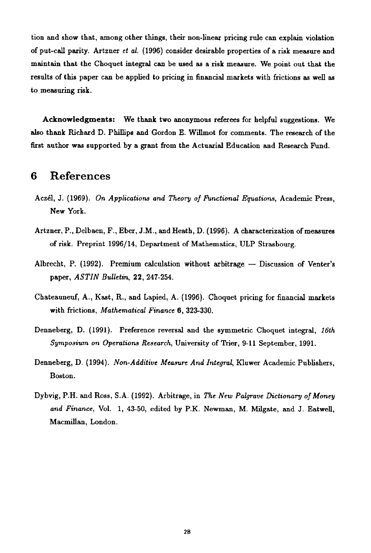tion and show that, among other things, their non-linear pricing rule can explain violation of put-call parity. Artzner et al. (1996) consider desirable properties of a risk measure and maintain that the Choquet integral can be used as a risk measure. We point out that the results of this paper can be applied to pricing in financial markets with frictions as well as to measuring risk.

Acknowledgments: We thank two anonymous referees for helpful suggestions. We also thank Richard D. phillips and Gordon E. Willmot for comments. The research of the first author was supported by a grant from the Actuarial Education and Research Fund.

#### **6 References**

- Aczél, J. (1969). *On Applications and Theory of Functional Equations, Academic Press,* New York.
- Artzner, P., Delbaen, F., Eber, J.M., and Heath, D. (1996). A characterization of measures of risk. Preprint 1996/14, Department of Mathematics, ULP Strasbourg.
- Albrecht, P. (1992). Premium calculation without arbitrage -- Discussion of Venter's paper, *ASTIN Bulletin,* 22, 247-254.
- Chateauneuf, A., Kast, R., and Lapied, A. (1996). Choquet pricing for financial markets with frictions, *Mathematical Finance* 6, 323-330.
- Denneberg, D. (1991). Preference reversal and the symmetric Choquet integral, *lfith Symposium on Operations Research,* University of Trier, 9-11 September, 1991.
- Denneberg, D. (1994). *Non-Additive Measure And Integral,* Kluwer Academic Publishers, Boston.
- Dybvig, P.H. and Ross, S.A. (1992). Arbitrage, in *The New Palgrave Dictionary of Money and Finance,* Vol. 1, 43-50, edited by P.K. Newman, M. Milgate, and J. Eatwell, Macmillan, London.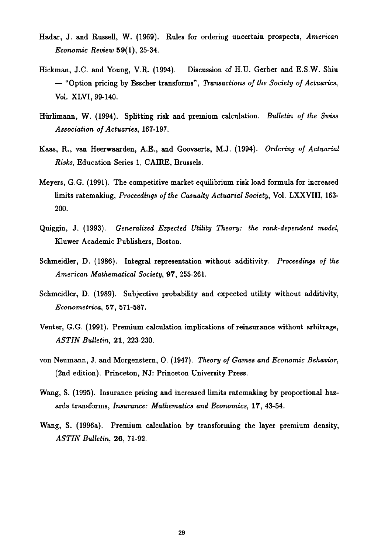- Hadar, J. and Russell, W. (1969). Rules for ordering uncertain prospects, *American Economic Review* 59(I), 25-34.
- Hickman, J.C. and Young, V.R. (1994). Discussion of H.U. Gerber and E.S.W. Shiu -- "Option pricing by Essclier transforms", *Transactions of the Society of Actuaries,*  Vol. XLVI, 99-140.
- Hiirlimann, W. (1994). Splitting risk and premium calculation. *Bulletin of the Swiss Association of Actuaries,* 167-197.
- Kaas, R., van Heerwaarden, A.E., and Goovaerts, M.J. (1994). *Ordering of Actuarial*  Risks, Education Series 1, CAIRE, Brussels.
- Meyers, G.G. (1991). The competitive market equilibrium risk load formula for increased limits ratemaking, *Proceedings of the Casualty Actuarial Society,* Vol. LXXVIII, 163- 200.
- Qniggin, J. (1993). *Generalized Ezpected Utility Theory: the rank-dependent model,*  Kluwer Academic Publishers, Boston.
- Schmeidler, D. (1986). Integral representation without additivity. *Proceedings of the American Mathematical Society,* 97, 255-261.
- Schmeidler, D. (1989). Subjective probability and expected utility without additivity, *Econometrica,* 57, 571-587.
- Venter, G.G. (1991). Premium calculation implications of reinsurance without arbitrage, *ASTIN Bulletin,* 21,223-230.
- von Neumann, J. and Morgenstern, O. (1947). *Theory of Games and Economic Behavior,*  (2nd edition). Princeton, NJ: Princeton University Press.
- Wang, S. (1995). Insurance pricing and increased limits ratemaking by proportional hazards transforms, *Insurance: Mathematics and Economics,* 17, 43-54.
- Wang, S. (1996a). Premium calculation by transforming the layer premium density, *ASTIN Bulletin,* 26, 71-92.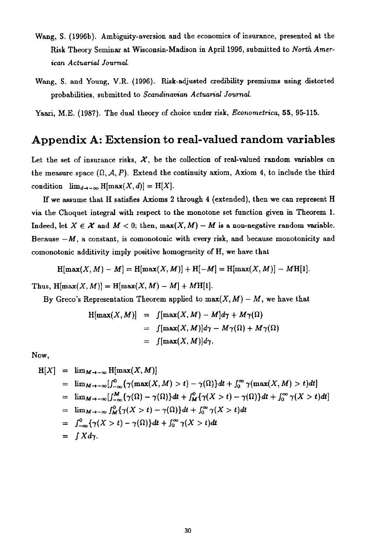- Wang, S. (1996b). Ambiguity-aversion and the economics of insurance, presented at the Risk Theory Seminar at Wisconsin-Madison in April 1996, submitted to *North American Actuarial Journal.*
- Wang, S. and Young, V.R. (1996). Risk-adjusted credibility premiums using distorted probabilities, submitted to *Scandinavian Actuarial Journal.*

Yaari, M.E. (1987). The dual theory of choice under risk, *Econometrica*, 55, 95-115.

## **Appendix A: Extension to real-valued random variables**

Let the set of insurance risks,  $X$ , be the collection of real-valued random variables on the measure space  $(\Omega, \mathcal{A}, P)$ . Extend the continuity axiom, Axiom 4, to include the third condition  $\lim_{d\to\infty}$  H[max(X, d)] = H[X].

If we assume that H satisfies Axioms 2 through 4 (extended), then we can represent H via the Choquet integral with respect to the monotone set function given in Theorem 1. Indeed, let  $X \in \mathcal{X}$  and  $M < 0$ ; then,  $\max(X, M) - M$  is a non-negative random variable. Because  $-M$ , a constant, is comonotonic with every risk, and because monotonicity and comonotonic additivity imply positive homogeneity of H, we have that

 $H[\max(X, M) - M] = H[\max(X, M)] + H[-M] = H[\max(X, M)] - M[H]$ .

Thus,  $H[\max(X, M)] = H[\max(X, M) - M] + M[H]1].$ 

By Greco's Representation Theorem applied to  $max(X, M) - M$ , we have that

$$
H[\max(X, M)] = \int [\max(X, M) - M] d\gamma + M\gamma(\Omega)
$$
  
= 
$$
\int [\max(X, M)] d\gamma - M\gamma(\Omega) + M\gamma(\Omega)
$$
  
= 
$$
\int [\max(X, M)] d\gamma.
$$

Now,

$$
H[X] = \lim_{M \to \infty} H[\max(X, M)]
$$
  
\n
$$
= \lim_{M \to \infty} [f^0_{-\infty} \{\gamma(\max(X, M) > t) - \gamma(\Omega)\} dt + \int_0^{\infty} \gamma(\max(X, M) > t) dt]
$$
  
\n
$$
= \lim_{M \to \infty} [f^M_{-\infty} \{\gamma(\Omega) - \gamma(\Omega)\} dt + \int_M^0 \{\gamma(X > t) - \gamma(\Omega)\} dt + \int_0^{\infty} \gamma(X > t) dt]
$$
  
\n
$$
= \lim_{M \to \infty} \int_M^0 \{\gamma(X > t) - \gamma(\Omega)\} dt + \int_0^{\infty} \gamma(X > t) dt
$$
  
\n
$$
= \int_{-\infty}^0 \{\gamma(X > t) - \gamma(\Omega)\} dt + \int_0^{\infty} \gamma(X > t) dt
$$
  
\n
$$
= \int X d\gamma.
$$